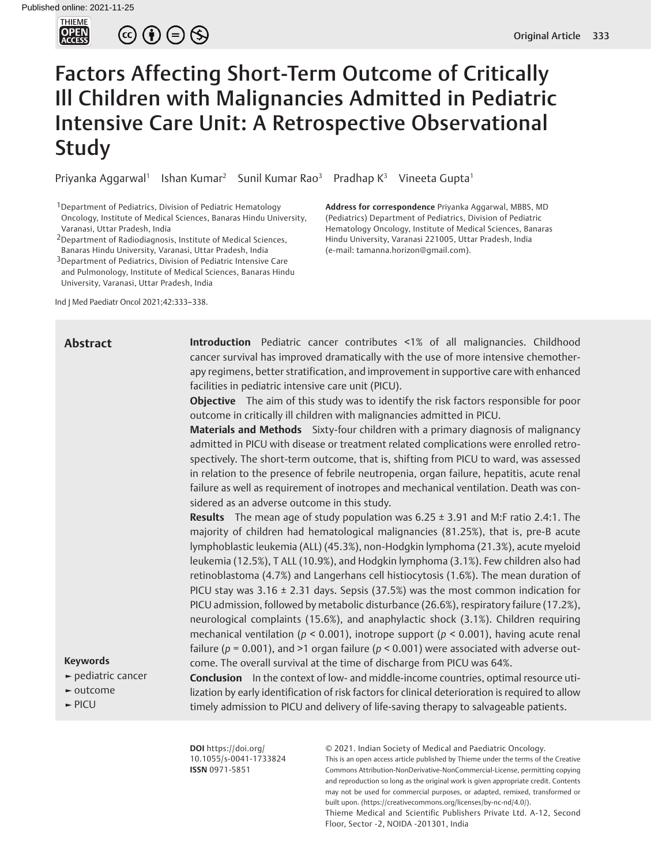

 $\circledcirc \oplus \circledcirc$ 

# Factors Affecting Short-Term Outcome of Critically Ill Children with Malignancies Admitted in Pediatric Intensive Care Unit: A Retrospective Observational Study

Priyanka Aggarwal<sup>1</sup> Ishan Kumar<sup>2</sup> Sunil Kumar Rao<sup>3</sup> Pradhap K<sup>3</sup> Vineeta Gupta<sup>1</sup>

1Department of Pediatrics, Division of Pediatric Hematology Oncology, Institute of Medical Sciences, Banaras Hindu University, Varanasi, Uttar Pradesh, India

2Department of Radiodiagnosis, Institute of Medical Sciences, Banaras Hindu University, Varanasi, Uttar Pradesh, India

3Department of Pediatrics, Division of Pediatric Intensive Care and Pulmonology, Institute of Medical Sciences, Banaras Hindu University, Varanasi, Uttar Pradesh, India

Ind J Med Paediatr Oncol 2021;42:333–338.

**Address for correspondence** Priyanka Aggarwal, MBBS, MD (Pediatrics) Department of Pediatrics, Division of Pediatric Hematology Oncology, Institute of Medical Sciences, Banaras Hindu University, Varanasi 221005, Uttar Pradesh, India (e-mail: tamanna.horizon@gmail.com).

## **Abstract**

**Introduction** Pediatric cancer contributes <1% of all malignancies. Childhood cancer survival has improved dramatically with the use of more intensive chemotherapy regimens, better stratification, and improvement in supportive care with enhanced facilities in pediatric intensive care unit (PICU).

**Objective** The aim of this study was to identify the risk factors responsible for poor outcome in critically ill children with malignancies admitted in PICU.

**Materials and Methods** Sixty-four children with a primary diagnosis of malignancy admitted in PICU with disease or treatment related complications were enrolled retrospectively. The short-term outcome, that is, shifting from PICU to ward, was assessed in relation to the presence of febrile neutropenia, organ failure, hepatitis, acute renal failure as well as requirement of inotropes and mechanical ventilation. Death was considered as an adverse outcome in this study.

**Results** The mean age of study population was 6.25 ± 3.91 and M:F ratio 2.4:1. The majority of children had hematological malignancies (81.25%), that is, pre-B acute lymphoblastic leukemia (ALL) (45.3%), non-Hodgkin lymphoma (21.3%), acute myeloid leukemia (12.5%), T ALL (10.9%), and Hodgkin lymphoma (3.1%). Few children also had retinoblastoma (4.7%) and Langerhans cell histiocytosis (1.6%). The mean duration of PICU stay was  $3.16 \pm 2.31$  days. Sepsis (37.5%) was the most common indication for PICU admission, followed by metabolic disturbance (26.6%), respiratory failure (17.2%), neurological complaints (15.6%), and anaphylactic shock (3.1%). Children requiring mechanical ventilation (*p* < 0.001), inotrope support (*p* < 0.001), having acute renal failure ( $p = 0.001$ ), and >1 organ failure ( $p < 0.001$ ) were associated with adverse outcome. The overall survival at the time of discharge from PICU was 64%.

# **Keywords**

- **►** pediatric cancer
- **►** outcome
- **►** PICU

**Conclusion** In the context of low- and middle-income countries, optimal resource utilization by early identification of risk factors for clinical deterioration is required to allow timely admission to PICU and delivery of life-saving therapy to salvageable patients.

**DOI** https://doi.org/ 10.1055/s-0041-1733824 **ISSN** 0971-5851

© 2021. Indian Society of Medical and Paediatric Oncology.

This is an open access article published by Thieme under the terms of the Creative Commons Attribution-NonDerivative-NonCommercial-License, permitting copying and reproduction so long as the original work is given appropriate credit. Contents may not be used for commercial purposes, or adapted, remixed, transformed or built upon. (https://creativecommons.org/licenses/by-nc-nd/4.0/).

Thieme Medical and Scientific Publishers Private Ltd. A-12, Second Floor, Sector -2, NOIDA -201301, India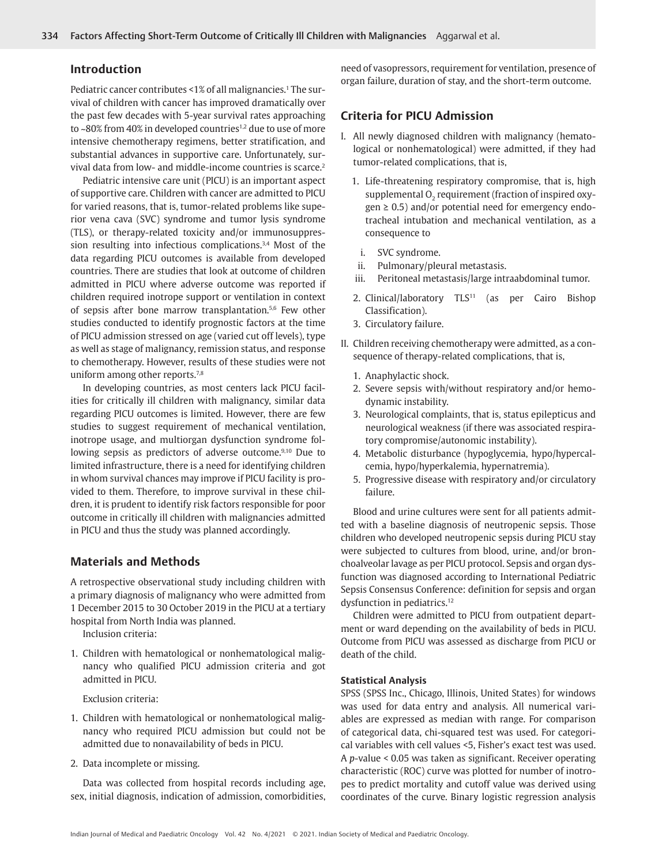## **Introduction**

Pediatric cancer contributes <1% of all malignancies.<sup>1</sup> The survival of children with cancer has improved dramatically over the past few decades with 5-year survival rates approaching to ~80% from 40% in developed countries<sup>1,2</sup> due to use of more intensive chemotherapy regimens, better stratification, and substantial advances in supportive care. Unfortunately, survival data from low- and middle-income countries is scarce.<sup>2</sup>

Pediatric intensive care unit (PICU) is an important aspect of supportive care. Children with cancer are admitted to PICU for varied reasons, that is, tumor-related problems like superior vena cava (SVC) syndrome and tumor lysis syndrome (TLS), or therapy-related toxicity and/or immunosuppression resulting into infectious complications.<sup>3,4</sup> Most of the data regarding PICU outcomes is available from developed countries. There are studies that look at outcome of children admitted in PICU where adverse outcome was reported if children required inotrope support or ventilation in context of sepsis after bone marrow transplantation.5,6 Few other studies conducted to identify prognostic factors at the time of PICU admission stressed on age (varied cut off levels), type as well as stage of malignancy, remission status, and response to chemotherapy. However, results of these studies were not uniform among other reports.<sup>7,8</sup>

In developing countries, as most centers lack PICU facilities for critically ill children with malignancy, similar data regarding PICU outcomes is limited. However, there are few studies to suggest requirement of mechanical ventilation, inotrope usage, and multiorgan dysfunction syndrome following sepsis as predictors of adverse outcome.<sup>9,10</sup> Due to limited infrastructure, there is a need for identifying children in whom survival chances may improve if PICU facility is provided to them. Therefore, to improve survival in these children, it is prudent to identify risk factors responsible for poor outcome in critically ill children with malignancies admitted in PICU and thus the study was planned accordingly.

# **Materials and Methods**

A retrospective observational study including children with a primary diagnosis of malignancy who were admitted from 1 December 2015 to 30 October 2019 in the PICU at a tertiary hospital from North India was planned.

Inclusion criteria:

1. Children with hematological or nonhematological malignancy who qualified PICU admission criteria and got admitted in PICU.

Exclusion criteria:

- 1. Children with hematological or nonhematological malignancy who required PICU admission but could not be admitted due to nonavailability of beds in PICU.
- 2. Data incomplete or missing.

Data was collected from hospital records including age, sex, initial diagnosis, indication of admission, comorbidities, need of vasopressors, requirement for ventilation, presence of organ failure, duration of stay, and the short-term outcome.

# **Criteria for PICU Admission**

- I. All newly diagnosed children with malignancy (hematological or nonhematological) were admitted, if they had tumor-related complications, that is,
	- 1. Life-threatening respiratory compromise, that is, high supplemental  $O_2$  requirement (fraction of inspired oxy $gen \geq 0.5$ ) and/or potential need for emergency endotracheal intubation and mechanical ventilation, as a consequence to
		- i. SVC syndrome.
	- ii. Pulmonary/pleural metastasis.
	- iii. Peritoneal metastasis/large intraabdominal tumor.
	- 2. Clinical/laboratory TLS<sup>11</sup> (as per Cairo Bishop Classification).
	- 3. Circulatory failure.
- II. Children receiving chemotherapy were admitted, as a consequence of therapy-related complications, that is,
	- 1. Anaphylactic shock.
	- 2. Severe sepsis with/without respiratory and/or hemodynamic instability.
	- 3. Neurological complaints, that is, status epilepticus and neurological weakness (if there was associated respiratory compromise/autonomic instability).
	- 4. Metabolic disturbance (hypoglycemia, hypo/hypercalcemia, hypo/hyperkalemia, hypernatremia).
	- 5. Progressive disease with respiratory and/or circulatory failure.

Blood and urine cultures were sent for all patients admitted with a baseline diagnosis of neutropenic sepsis. Those children who developed neutropenic sepsis during PICU stay were subjected to cultures from blood, urine, and/or bronchoalveolar lavage as per PICU protocol. Sepsis and organ dysfunction was diagnosed according to International Pediatric Sepsis Consensus Conference: definition for sepsis and organ dysfunction in pediatrics.<sup>12</sup>

Children were admitted to PICU from outpatient department or ward depending on the availability of beds in PICU. Outcome from PICU was assessed as discharge from PICU or death of the child.

#### **Statistical Analysis**

SPSS (SPSS Inc., Chicago, Illinois, United States) for windows was used for data entry and analysis. All numerical variables are expressed as median with range. For comparison of categorical data, chi-squared test was used. For categorical variables with cell values <5, Fisher's exact test was used. A *p*-value < 0.05 was taken as significant. Receiver operating characteristic (ROC) curve was plotted for number of inotropes to predict mortality and cutoff value was derived using coordinates of the curve. Binary logistic regression analysis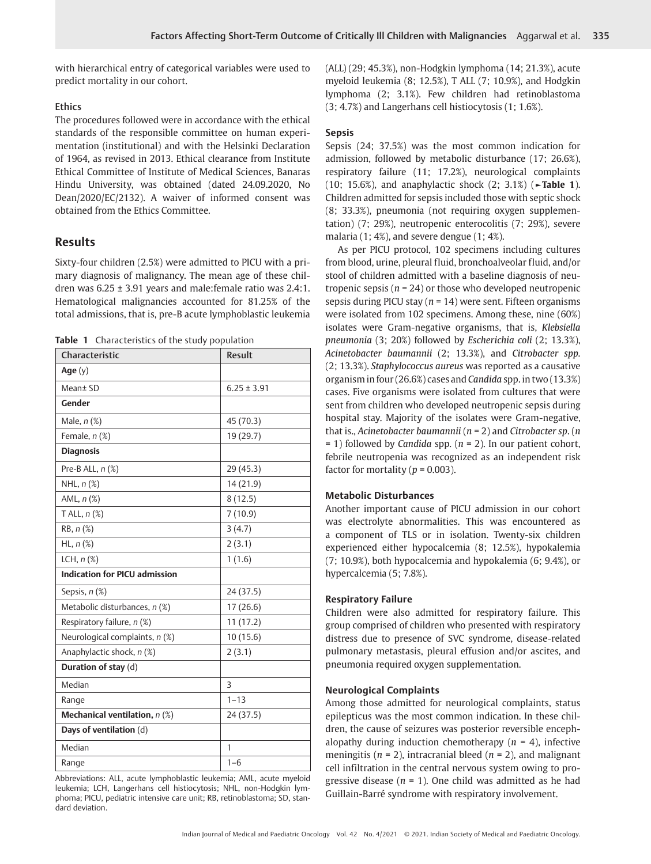with hierarchical entry of categorical variables were used to predict mortality in our cohort.

## **Ethics**

The procedures followed were in accordance with the ethical standards of the responsible committee on human experimentation (institutional) and with the Helsinki Declaration of 1964, as revised in 2013. Ethical clearance from Institute Ethical Committee of Institute of Medical Sciences, Banaras Hindu University, was obtained (dated 24.09.2020, No Dean/2020/EC/2132). A waiver of informed consent was obtained from the Ethics Committee.

# **Results**

Sixty-four children (2.5%) were admitted to PICU with a primary diagnosis of malignancy. The mean age of these children was  $6.25 \pm 3.91$  years and male: female ratio was  $2.4:1$ . Hematological malignancies accounted for 81.25% of the total admissions, that is, pre-B acute lymphoblastic leukemia

**Table 1** Characteristics of the study population

| Characteristic                       | Result          |  |  |
|--------------------------------------|-----------------|--|--|
| Age (y)                              |                 |  |  |
| Mean± SD                             | $6.25 \pm 3.91$ |  |  |
| Gender                               |                 |  |  |
| Male, $n$ (%)                        | 45 (70.3)       |  |  |
| Female, n (%)                        | 19 (29.7)       |  |  |
| <b>Diagnosis</b>                     |                 |  |  |
| Pre-B ALL, n (%)                     | 29(45.3)        |  |  |
| NHL, $n$ $(\%)$                      | 14 (21.9)       |  |  |
| AML, $n$ $(\%)$                      | 8(12.5)         |  |  |
| T ALL, $n$ $(\%)$                    | 7(10.9)         |  |  |
| RB, n (%)                            | 3(4.7)          |  |  |
| $HL, n({\%)}$                        | 2(3.1)          |  |  |
| LCH, $n$ $(\%)$                      | 1(1.6)          |  |  |
| <b>Indication for PICU admission</b> |                 |  |  |
| Sepsis, n (%)                        | 24 (37.5)       |  |  |
| Metabolic disturbances, n (%)        | 17(26.6)        |  |  |
| Respiratory failure, n (%)           | 11(17.2)        |  |  |
| Neurological complaints, n (%)       | 10(15.6)        |  |  |
| Anaphylactic shock, n (%)            | 2(3.1)          |  |  |
| Duration of stay (d)                 |                 |  |  |
| Median                               | 3               |  |  |
| Range                                | $1 - 13$        |  |  |
| Mechanical ventilation, $n$ (%)      | 24(37.5)        |  |  |
| Days of ventilation (d)              |                 |  |  |
| Median                               | 1               |  |  |
| Range                                | $1 - 6$         |  |  |

Abbreviations: ALL, acute lymphoblastic leukemia; AML, acute myeloid leukemia; LCH, Langerhans cell histiocytosis; NHL, non-Hodgkin lymphoma; PICU, pediatric intensive care unit; RB, retinoblastoma; SD, standard deviation.

(ALL) (29; 45.3%), non-Hodgkin lymphoma (14; 21.3%), acute myeloid leukemia (8; 12.5%), T ALL (7; 10.9%), and Hodgkin lymphoma (2; 3.1%). Few children had retinoblastoma (3; 4.7%) and Langerhans cell histiocytosis (1; 1.6%).

# **Sepsis**

Sepsis (24; 37.5%) was the most common indication for admission, followed by metabolic disturbance (17; 26.6%), respiratory failure (11; 17.2%), neurological complaints (10; 15.6%), and anaphylactic shock (2; 3.1%) (**►Table 1**). Children admitted for sepsis included those with septic shock (8; 33.3%), pneumonia (not requiring oxygen supplementation) (7; 29%), neutropenic enterocolitis (7; 29%), severe malaria (1; 4%), and severe dengue (1; 4%).

As per PICU protocol, 102 specimens including cultures from blood, urine, pleural fluid, bronchoalveolar fluid, and/or stool of children admitted with a baseline diagnosis of neutropenic sepsis (*n* = 24) or those who developed neutropenic sepsis during PICU stay (*n* = 14) were sent. Fifteen organisms were isolated from 102 specimens. Among these, nine (60%) isolates were Gram-negative organisms, that is, *Klebsiella pneumonia* (3; 20%) followed by *Escherichia coli* (2; 13.3%), *Acinetobacter baumannii* (2; 13.3%), and *Citrobacter spp.* (2; 13.3%). *Staphylococcus aureus* was reported as a causative organism in four (26.6%) cases and *Candida* spp. in two (13.3%) cases. Five organisms were isolated from cultures that were sent from children who developed neutropenic sepsis during hospital stay. Majority of the isolates were Gram-negative, that is., *Acinetobacter baumannii* (*n* = 2) and *Citrobacter sp*. (*n* = 1) followed by *Candida* spp*.* (*n* = 2). In our patient cohort, febrile neutropenia was recognized as an independent risk factor for mortality ( $p = 0.003$ ).

## **Metabolic Disturbances**

Another important cause of PICU admission in our cohort was electrolyte abnormalities. This was encountered as a component of TLS or in isolation. Twenty-six children experienced either hypocalcemia (8; 12.5%), hypokalemia (7; 10.9%), both hypocalcemia and hypokalemia (6; 9.4%), or hypercalcemia (5; 7.8%).

## **Respiratory Failure**

Children were also admitted for respiratory failure. This group comprised of children who presented with respiratory distress due to presence of SVC syndrome, disease-related pulmonary metastasis, pleural effusion and/or ascites, and pneumonia required oxygen supplementation.

## **Neurological Complaints**

Among those admitted for neurological complaints, status epilepticus was the most common indication. In these children, the cause of seizures was posterior reversible encephalopathy during induction chemotherapy (*n* = 4), infective meningitis (*n* = 2), intracranial bleed (*n* = 2), and malignant cell infiltration in the central nervous system owing to progressive disease  $(n = 1)$ . One child was admitted as he had Guillain-Barré syndrome with respiratory involvement.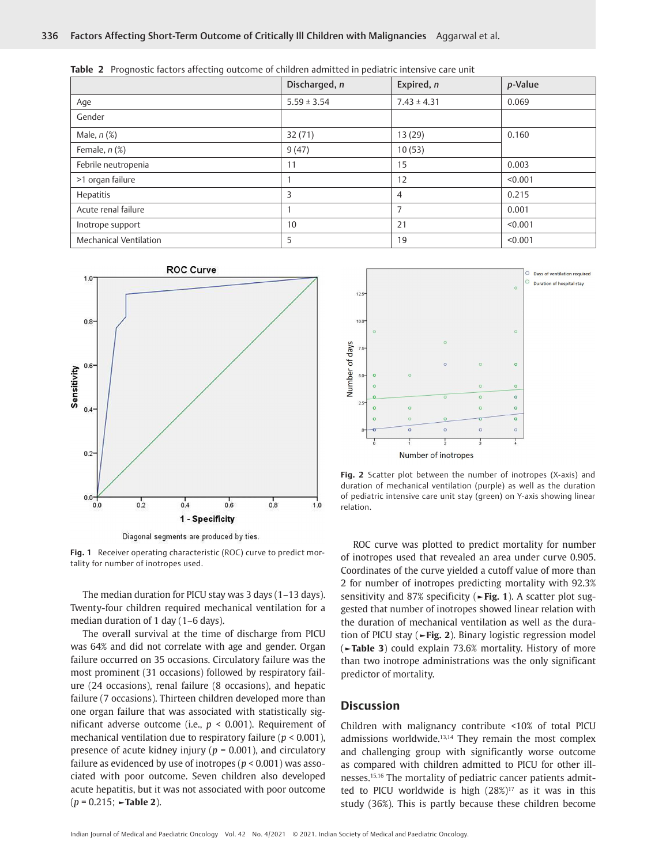|                        | Discharged, n   | Expired, n      | p-Value |
|------------------------|-----------------|-----------------|---------|
| Age                    | $5.59 \pm 3.54$ | $7.43 \pm 4.31$ | 0.069   |
| Gender                 |                 |                 |         |
| Male, $n$ $(\%)$       | 32(71)          | 13 (29)         | 0.160   |
| Female, $n$ (%)        | 9(47)           | 10(53)          |         |
| Febrile neutropenia    | 11              | 15              | 0.003   |
| >1 organ failure       |                 | 12              | < 0.001 |
| Hepatitis              | 3               | $\overline{4}$  | 0.215   |
| Acute renal failure    |                 | 7               | 0.001   |
| Inotrope support       | 10              | 21              | < 0.001 |
| Mechanical Ventilation | 5               | 19              | < 0.001 |

**Table 2** Prognostic factors affecting outcome of children admitted in pediatric intensive care unit



**Fig. 1** Receiver operating characteristic (ROC) curve to predict mortality for number of inotropes used.

The median duration for PICU stay was 3 days (1–13 days). Twenty-four children required mechanical ventilation for a median duration of 1 day (1–6 days).

The overall survival at the time of discharge from PICU was 64% and did not correlate with age and gender. Organ failure occurred on 35 occasions. Circulatory failure was the most prominent (31 occasions) followed by respiratory failure (24 occasions), renal failure (8 occasions), and hepatic failure (7 occasions). Thirteen children developed more than one organ failure that was associated with statistically significant adverse outcome (i.e., *p* < 0.001). Requirement of mechanical ventilation due to respiratory failure (*p* < 0.001), presence of acute kidney injury (*p* = 0.001), and circulatory failure as evidenced by use of inotropes (*p* < 0.001) was associated with poor outcome. Seven children also developed acute hepatitis, but it was not associated with poor outcome (*p* = 0.215; **►Table 2**).



**Fig. 2** Scatter plot between the number of inotropes (X-axis) and duration of mechanical ventilation (purple) as well as the duration of pediatric intensive care unit stay (green) on Y-axis showing linear relation.

ROC curve was plotted to predict mortality for number of inotropes used that revealed an area under curve 0.905. Coordinates of the curve yielded a cutoff value of more than 2 for number of inotropes predicting mortality with 92.3% sensitivity and 87% specificity (**►Fig. 1**). A scatter plot suggested that number of inotropes showed linear relation with the duration of mechanical ventilation as well as the duration of PICU stay (**►Fig. 2**). Binary logistic regression model (**►Table 3**) could explain 73.6% mortality. History of more than two inotrope administrations was the only significant predictor of mortality.

## **Discussion**

Children with malignancy contribute <10% of total PICU admissions worldwide.13,14 They remain the most complex and challenging group with significantly worse outcome as compared with children admitted to PICU for other illnesses.15,16 The mortality of pediatric cancer patients admitted to PICU worldwide is high  $(28\%)^{17}$  as it was in this study (36%). This is partly because these children become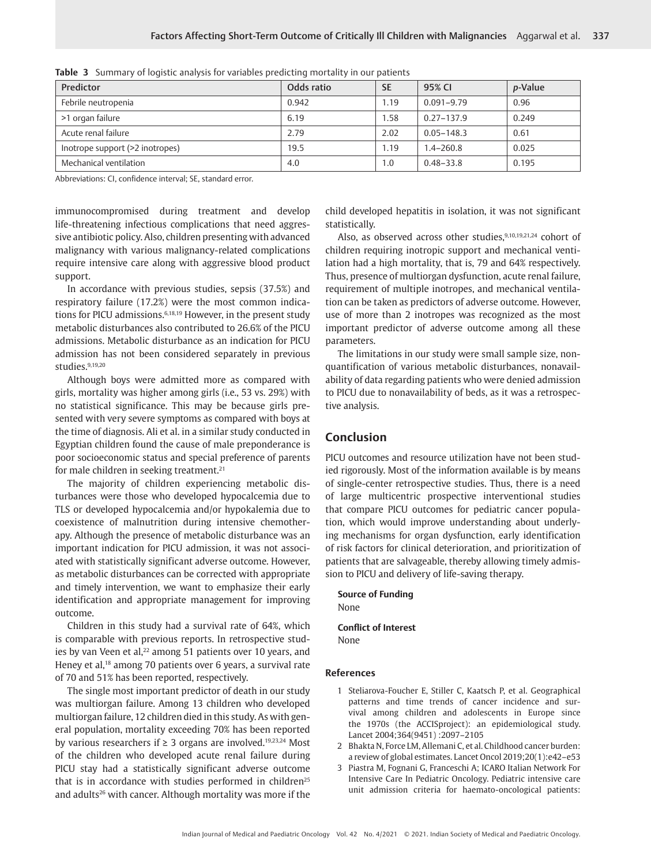| Predictor                       | Odds ratio | <b>SE</b> | 95% CI         | <i>p</i> -Value |
|---------------------------------|------------|-----------|----------------|-----------------|
| Febrile neutropenia             | 0.942      | 1.19      | $0.091 - 9.79$ | 0.96            |
| >1 organ failure                | 6.19       | 1.58      | $0.27 - 137.9$ | 0.249           |
| Acute renal failure             | 2.79       | 2.02      | $0.05 - 148.3$ | 0.61            |
| Inotrope support (>2 inotropes) | 19.5       | 1.19      | $1.4 - 260.8$  | 0.025           |
| Mechanical ventilation          | 4.0        | 1.0       | $0.48 - 33.8$  | 0.195           |

|  |  |  | <b>Table 3</b> Summary of logistic analysis for variables predicting mortality in our patients |  |  |  |
|--|--|--|------------------------------------------------------------------------------------------------|--|--|--|
|--|--|--|------------------------------------------------------------------------------------------------|--|--|--|

Abbreviations: CI, confidence interval; SE, standard error.

immunocompromised during treatment and develop life-threatening infectious complications that need aggressive antibiotic policy. Also, children presenting with advanced malignancy with various malignancy-related complications require intensive care along with aggressive blood product support.

In accordance with previous studies, sepsis (37.5%) and respiratory failure (17.2%) were the most common indications for PICU admissions.<sup>6,18,19</sup> However, in the present study metabolic disturbances also contributed to 26.6% of the PICU admissions. Metabolic disturbance as an indication for PICU admission has not been considered separately in previous studies.<sup>9,19,20</sup>

Although boys were admitted more as compared with girls, mortality was higher among girls (i.e., 53 vs. 29%) with no statistical significance. This may be because girls presented with very severe symptoms as compared with boys at the time of diagnosis. Ali et al. in a similar study conducted in Egyptian children found the cause of male preponderance is poor socioeconomic status and special preference of parents for male children in seeking treatment.<sup>21</sup>

The majority of children experiencing metabolic disturbances were those who developed hypocalcemia due to TLS or developed hypocalcemia and/or hypokalemia due to coexistence of malnutrition during intensive chemotherapy. Although the presence of metabolic disturbance was an important indication for PICU admission, it was not associated with statistically significant adverse outcome. However, as metabolic disturbances can be corrected with appropriate and timely intervention, we want to emphasize their early identification and appropriate management for improving outcome.

Children in this study had a survival rate of 64%, which is comparable with previous reports. In retrospective studies by van Veen et al,<sup>22</sup> among 51 patients over 10 years, and Heney et al,<sup>18</sup> among 70 patients over 6 years, a survival rate of 70 and 51% has been reported, respectively.

The single most important predictor of death in our study was multiorgan failure. Among 13 children who developed multiorgan failure, 12 children died in this study. As with general population, mortality exceeding 70% has been reported by various researchers if  $\geq 3$  organs are involved.<sup>19,23,24</sup> Most of the children who developed acute renal failure during PICU stay had a statistically significant adverse outcome that is in accordance with studies performed in children $25$ and adults<sup>26</sup> with cancer. Although mortality was more if the

child developed hepatitis in isolation, it was not significant statistically.

Also, as observed across other studies, $9,10,19,21,24$  cohort of children requiring inotropic support and mechanical ventilation had a high mortality, that is, 79 and 64% respectively. Thus, presence of multiorgan dysfunction, acute renal failure, requirement of multiple inotropes, and mechanical ventilation can be taken as predictors of adverse outcome. However, use of more than 2 inotropes was recognized as the most important predictor of adverse outcome among all these parameters.

The limitations in our study were small sample size, nonquantification of various metabolic disturbances, nonavailability of data regarding patients who were denied admission to PICU due to nonavailability of beds, as it was a retrospective analysis.

## **Conclusion**

PICU outcomes and resource utilization have not been studied rigorously. Most of the information available is by means of single-center retrospective studies. Thus, there is a need of large multicentric prospective interventional studies that compare PICU outcomes for pediatric cancer population, which would improve understanding about underlying mechanisms for organ dysfunction, early identification of risk factors for clinical deterioration, and prioritization of patients that are salvageable, thereby allowing timely admission to PICU and delivery of life-saving therapy.

**Source of Funding** None **Conflict of Interest**

None

### **References**

- 1 Steliarova-Foucher E, Stiller C, Kaatsch P, et al. Geographical patterns and time trends of cancer incidence and survival among children and adolescents in Europe since the 1970s (the ACCISproject): an epidemiological study. Lancet 2004;364(9451) :2097–2105
- 2 Bhakta N, Force LM, Allemani C, et al. Childhood cancer burden: a review of global estimates. Lancet Oncol 2019;20(1):e42–e53
- 3 Piastra M, Fognani G, Franceschi A; ICARO Italian Network For Intensive Care In Pediatric Oncology. Pediatric intensive care unit admission criteria for haemato-oncological patients: